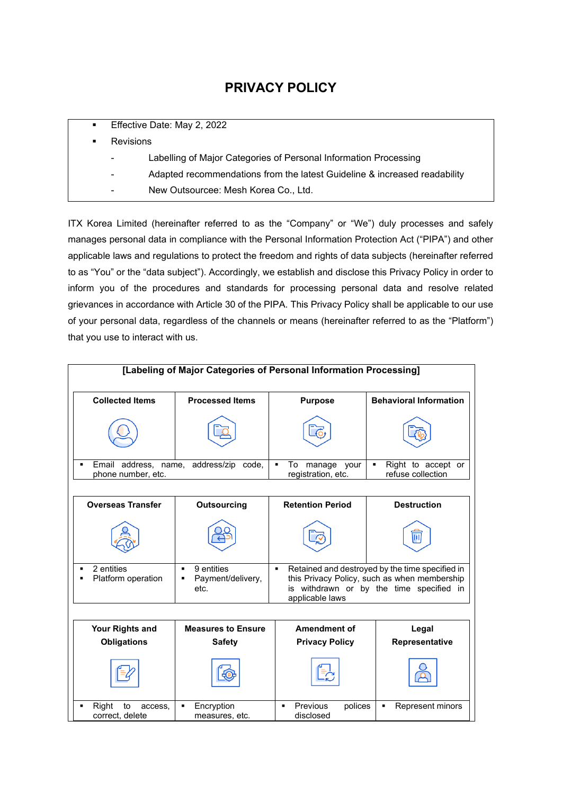# **PRIVACY POLICY**

| $\blacksquare$ | Effective Date: May 2, 2022                                               |  |
|----------------|---------------------------------------------------------------------------|--|
|                | <b>Revisions</b>                                                          |  |
| ۰              | Labelling of Major Categories of Personal Information Processing          |  |
| ۰              | Adapted recommendations from the latest Guideline & increased readability |  |
| ۰              | New Outsourcee: Mesh Korea Co., Ltd.                                      |  |

ITX Korea Limited (hereinafter referred to as the "Company" or "We") duly processes and safely manages personal data in compliance with the Personal Information Protection Act ("PIPA") and other applicable laws and regulations to protect the freedom and rights of data subjects (hereinafter referred to as "You" or the "data subject"). Accordingly, we establish and disclose this Privacy Policy in order to inform you of the procedures and standards for processing personal data and resolve related grievances in accordance with Article 30 of the PIPA. This Privacy Policy shall be applicable to our use of your personal data, regardless of the channels or means (hereinafter referred to as the "Platform") that you use to interact with us.

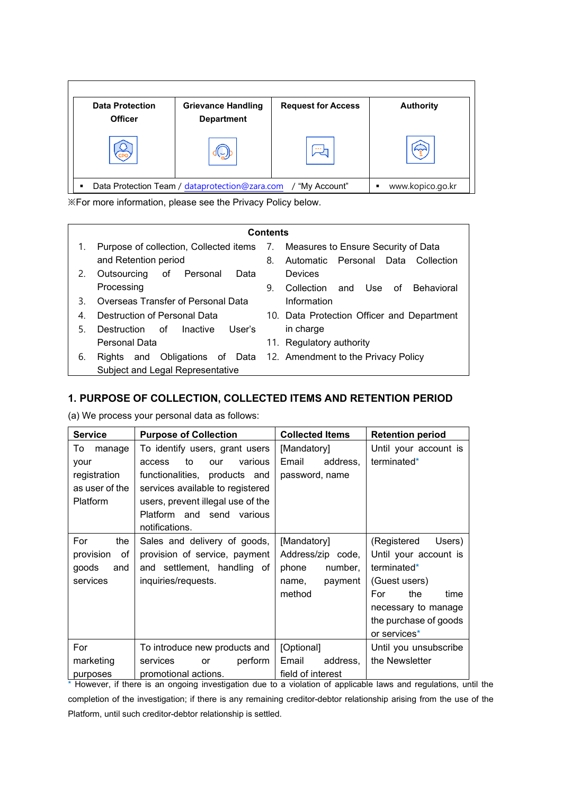| <b>Data Protection</b><br><b>Officer</b> | <b>Grievance Handling</b><br><b>Department</b> | <b>Request for Access</b> | <b>Authority</b> |
|------------------------------------------|------------------------------------------------|---------------------------|------------------|
|                                          |                                                |                           |                  |

※For more information, please see the Privacy Policy below.

|    |                                                                               | <b>Contents</b> |                                                         |
|----|-------------------------------------------------------------------------------|-----------------|---------------------------------------------------------|
| 1. | Purpose of collection, Collected items 7. Measures to Ensure Security of Data |                 |                                                         |
|    | and Retention period                                                          | 8.              | Automatic Personal Data Collection                      |
| 2. | Outsourcing<br>of Personal Data                                               |                 | Devices                                                 |
|    | Processing                                                                    | 9.              | Collection and Use of<br>Behavioral                     |
| 3  | Overseas Transfer of Personal Data                                            |                 | Information                                             |
| 4. | Destruction of Personal Data                                                  |                 | 10. Data Protection Officer and Department              |
| 5. | User's<br>Destruction of Inactive                                             |                 | in charge                                               |
|    | Personal Data                                                                 | 11.             | Regulatory authority                                    |
| 6. | and<br>Rights                                                                 |                 | Obligations of Data 12. Amendment to the Privacy Policy |
|    | Subject and Legal Representative                                              |                 |                                                         |

# **1. PURPOSE OF COLLECTION, COLLECTED ITEMS AND RETENTION PERIOD**

(a) We process your personal data as follows:

| <b>Service</b>  | <b>Purpose of Collection</b>      | <b>Collected Items</b> | <b>Retention period</b>  |
|-----------------|-----------------------------------|------------------------|--------------------------|
| To<br>manage    | To identify users, grant users    | [Mandatory]            | Until your account is    |
| your            | various<br>to<br>access<br>our    | Email<br>address,      | terminated*              |
| registration    | functionalities, products and     | password, name         |                          |
| as user of the  | services available to registered  |                        |                          |
| <b>Platform</b> | users, prevent illegal use of the |                        |                          |
|                 | Platform and send various         |                        |                          |
|                 | notifications.                    |                        |                          |
| the<br>For      | Sales and delivery of goods,      | [Mandatory]            | (Registered<br>Users)    |
| provision<br>of | provision of service, payment     | Address/zip code,      | Until your account is    |
| goods<br>and    | and settlement, handling of       | phone<br>number,       | terminated*              |
| services        | inquiries/requests.               | payment<br>name,       | (Guest users)            |
|                 |                                   | method                 | For<br>the<br>time       |
|                 |                                   |                        | necessary to manage      |
|                 |                                   |                        | the purchase of goods    |
|                 |                                   |                        | or services <sup>*</sup> |
| For             | To introduce new products and     | [Optional]             | Until you unsubscribe    |
| marketing       | perform<br>services<br>or         | Email<br>address,      | the Newsletter           |
| purposes        | promotional actions.              | field of interest      |                          |

\* However, if there is an ongoing investigation due to a violation of applicable laws and regulations, until the completion of the investigation; if there is any remaining creditor-debtor relationship arising from the use of the Platform, until such creditor-debtor relationship is settled.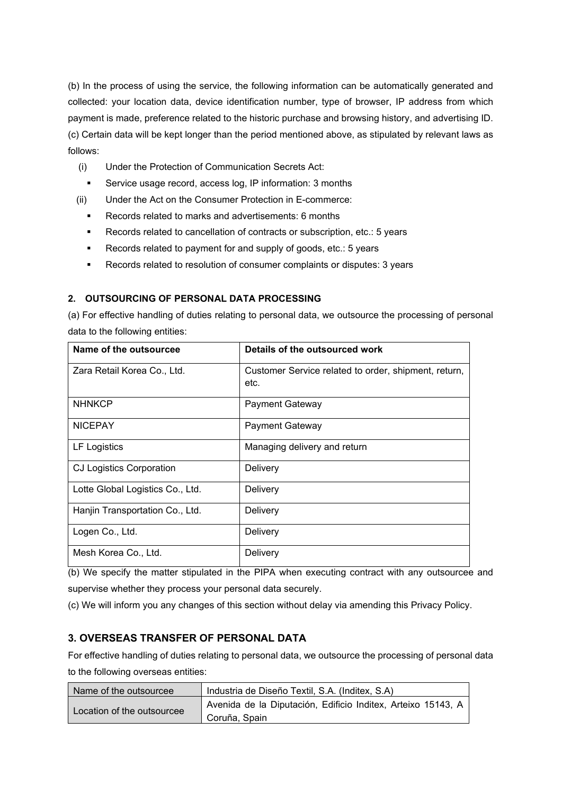(b) In the process of using the service, the following information can be automatically generated and collected: your location data, device identification number, type of browser, IP address from which payment is made, preference related to the historic purchase and browsing history, and advertising ID. (c) Certain data will be kept longer than the period mentioned above, as stipulated by relevant laws as follows:

- (i) Under the Protection of Communication Secrets Act:
- Service usage record, access log, IP information: 3 months
- (ii) Under the Act on the Consumer Protection in E-commerce:
	- Records related to marks and advertisements: 6 months
	- Records related to cancellation of contracts or subscription, etc.: 5 years
	- Records related to payment for and supply of goods, etc.: 5 years
	- Records related to resolution of consumer complaints or disputes: 3 years

#### **2. OUTSOURCING OF PERSONAL DATA PROCESSING**

(a) For effective handling of duties relating to personal data, we outsource the processing of personal data to the following entities:

| Name of the outsourcee           | Details of the outsourced work                               |
|----------------------------------|--------------------------------------------------------------|
| Zara Retail Korea Co., Ltd.      | Customer Service related to order, shipment, return,<br>etc. |
| <b>NHNKCP</b>                    | <b>Payment Gateway</b>                                       |
| <b>NICEPAY</b>                   | <b>Payment Gateway</b>                                       |
| LF Logistics                     | Managing delivery and return                                 |
| <b>CJ Logistics Corporation</b>  | Delivery                                                     |
| Lotte Global Logistics Co., Ltd. | Delivery                                                     |
| Hanjin Transportation Co., Ltd.  | Delivery                                                     |
| Logen Co., Ltd.                  | Delivery                                                     |
| Mesh Korea Co., Ltd.             | Delivery                                                     |

(b) We specify the matter stipulated in the PIPA when executing contract with any outsourcee and supervise whether they process your personal data securely.

(c) We will inform you any changes of this section without delay via amending this Privacy Policy.

#### **3. OVERSEAS TRANSFER OF PERSONAL DATA**

For effective handling of duties relating to personal data, we outsource the processing of personal data to the following overseas entities:

| Name of the outsourcee     | Industria de Diseño Textil, S.A. (Inditex, S.A)                               |
|----------------------------|-------------------------------------------------------------------------------|
| Location of the outsourcee | Avenida de la Diputación, Edificio Inditex, Arteixo 15143, A<br>Coruña, Spain |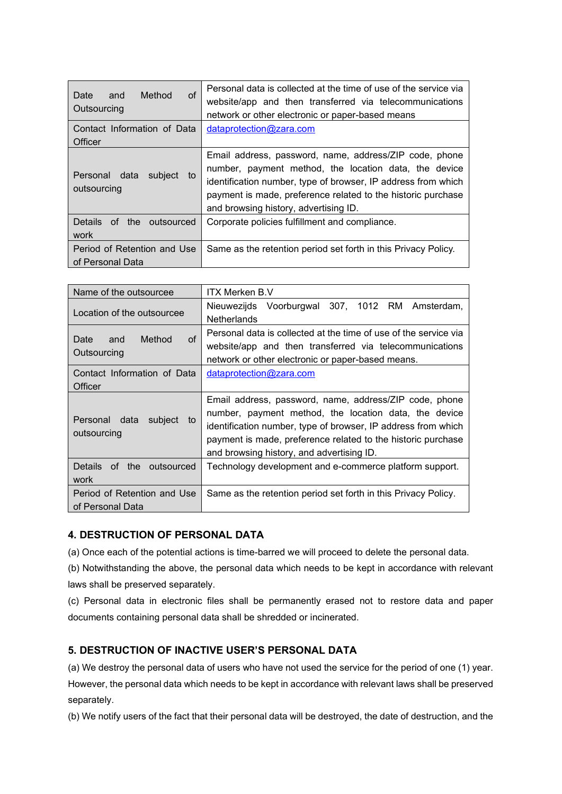| of<br>Method<br>Date<br>and<br>Outsourcing      | Personal data is collected at the time of use of the service via<br>website/app and then transferred via telecommunications<br>network or other electronic or paper-based means                                                                                                           |
|-------------------------------------------------|-------------------------------------------------------------------------------------------------------------------------------------------------------------------------------------------------------------------------------------------------------------------------------------------|
| Contact Information of Data                     | dataprotection@zara.com                                                                                                                                                                                                                                                                   |
| Officer                                         |                                                                                                                                                                                                                                                                                           |
| Personal data<br>subject<br>to<br>outsourcing   | Email address, password, name, address/ZIP code, phone<br>number, payment method, the location data, the device<br>identification number, type of browser, IP address from which<br>payment is made, preference related to the historic purchase<br>and browsing history, advertising ID. |
| of the outsourced<br>Details.<br>work           | Corporate policies fulfillment and compliance.                                                                                                                                                                                                                                            |
| Period of Retention and Use<br>of Personal Data | Same as the retention period set forth in this Privacy Policy.                                                                                                                                                                                                                            |

| Name of the outsourcee                            | <b>ITX Merken B.V</b>                                                                                                                                                                                                                                                                         |
|---------------------------------------------------|-----------------------------------------------------------------------------------------------------------------------------------------------------------------------------------------------------------------------------------------------------------------------------------------------|
| Location of the outsourcee                        | Nieuwezijds Voorburgwal 307, 1012 RM Amsterdam,<br><b>Netherlands</b>                                                                                                                                                                                                                         |
| $\circ$ f<br>Method<br>Date<br>and<br>Outsourcing | Personal data is collected at the time of use of the service via<br>website/app and then transferred via telecommunications<br>network or other electronic or paper-based means.                                                                                                              |
| Contact Information of Data<br>Officer            | dataprotection@zara.com                                                                                                                                                                                                                                                                       |
| Personal data subject<br>to<br>outsourcing        | Email address, password, name, address/ZIP code, phone<br>number, payment method, the location data, the device<br>identification number, type of browser, IP address from which<br>payment is made, preference related to the historic purchase<br>and browsing history, and advertising ID. |
| Details of the outsourced<br>work                 | Technology development and e-commerce platform support.                                                                                                                                                                                                                                       |
| Period of Retention and Use<br>of Personal Data   | Same as the retention period set forth in this Privacy Policy.                                                                                                                                                                                                                                |

# **4. DESTRUCTION OF PERSONAL DATA**

(a) Once each of the potential actions is time-barred we will proceed to delete the personal data.

(b) Notwithstanding the above, the personal data which needs to be kept in accordance with relevant laws shall be preserved separately.

(c) Personal data in electronic files shall be permanently erased not to restore data and paper documents containing personal data shall be shredded or incinerated.

# **5. DESTRUCTION OF INACTIVE USER'S PERSONAL DATA**

(a) We destroy the personal data of users who have not used the service for the period of one (1) year. However, the personal data which needs to be kept in accordance with relevant laws shall be preserved separately.

(b) We notify users of the fact that their personal data will be destroyed, the date of destruction, and the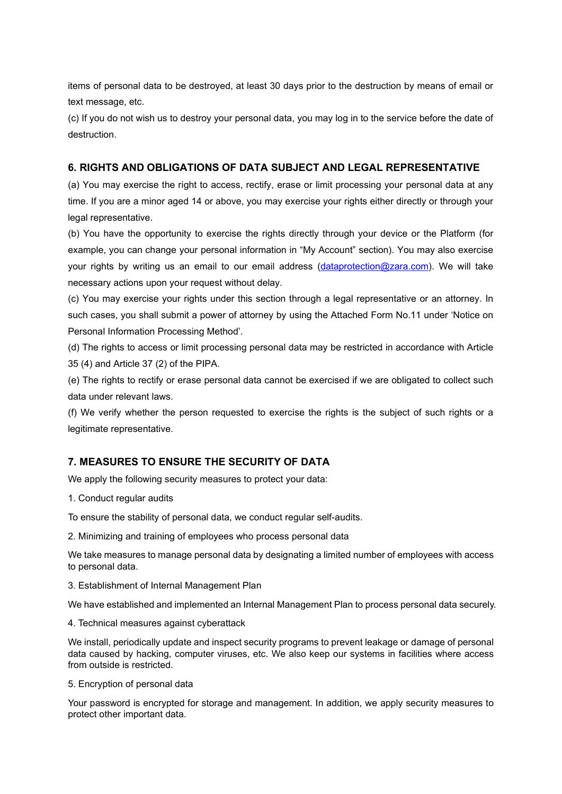items of personal data to be destroyed, at least 30 days prior to the destruction by means of email or text message, etc.

(c) If you do not wish us to destroy your personal data, you may log in to the service before the date of destruction.

#### **6. RIGHTS AND OBLIGATIONS OF DATA SUBJECT AND LEGAL REPRESENTATIVE**

(a) You may exercise the right to access, rectify, erase or limit processing your personal data at any time. If you are a minor aged 14 or above, you may exercise your rights either directly or through your legal representative.

(b) You have the opportunity to exercise the rights directly through your device or the Platform (for example, you can change your personal information in "My Account" section). You may also exercise your rights by writing us an email to our email address [\(dataprotection@zara.com\)](mailto:dataprotection@zara.com). We will take necessary actions upon your request without delay.

(c) You may exercise your rights under this section through a legal representative or an attorney. In such cases, you shall submit a power of attorney by using the Attached Form No.11 under 'Notice on Personal Information Processing Method'.

(d) The rights to access or limit processing personal data may be restricted in accordance with Article 35 (4) and Article 37 (2) of the PIPA.

(e) The rights to rectify or erase personal data cannot be exercised if we are obligated to collect such data under relevant laws.

(f) We verify whether the person requested to exercise the rights is the subject of such rights or a legitimate representative.

# **7. MEASURES TO ENSURE THE SECURITY OF DATA**

We apply the following security measures to protect your data:

1. Conduct regular audits

To ensure the stability of personal data, we conduct regular self-audits.

2. Minimizing and training of employees who process personal data

We take measures to manage personal data by designating a limited number of employees with access to personal data.

3. Establishment of Internal Management Plan

We have established and implemented an Internal Management Plan to process personal data securely.

4. Technical measures against cyberattack

We install, periodically update and inspect security programs to prevent leakage or damage of personal data caused by hacking, computer viruses, etc. We also keep our systems in facilities where access from outside is restricted.

5. Encryption of personal data

Your password is encrypted for storage and management. In addition, we apply security measures to protect other important data.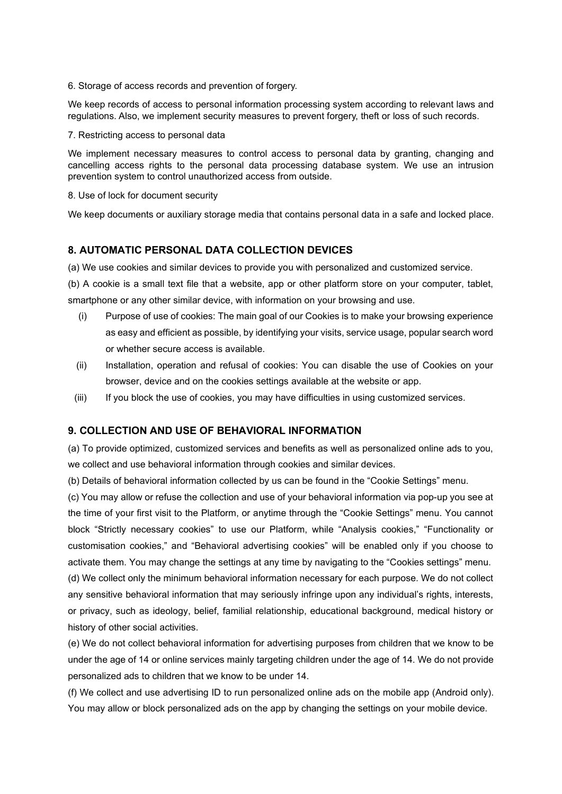6. Storage of access records and prevention of forgery.

We keep records of access to personal information processing system according to relevant laws and regulations. Also, we implement security measures to prevent forgery, theft or loss of such records.

7. Restricting access to personal data

We implement necessary measures to control access to personal data by granting, changing and cancelling access rights to the personal data processing database system. We use an intrusion prevention system to control unauthorized access from outside.

8. Use of lock for document security

We keep documents or auxiliary storage media that contains personal data in a safe and locked place.

#### **8. AUTOMATIC PERSONAL DATA COLLECTION DEVICES**

(a) We use cookies and similar devices to provide you with personalized and customized service.

(b) A cookie is a small text file that a website, app or other platform store on your computer, tablet, smartphone or any other similar device, with information on your browsing and use.

- (i) Purpose of use of cookies: The main goal of our Cookies is to make your browsing experience as easy and efficient as possible, by identifying your visits, service usage, popular search word or whether secure access is available.
- (ii) Installation, operation and refusal of cookies: You can disable the use of Cookies on your browser, device and on the cookies settings available at the website or app.
- (iii) If you block the use of cookies, you may have difficulties in using customized services.

#### **9. COLLECTION AND USE OF BEHAVIORAL INFORMATION**

(a) To provide optimized, customized services and benefits as well as personalized online ads to you, we collect and use behavioral information through cookies and similar devices.

(b) Details of behavioral information collected by us can be found in the "Cookie Settings" menu.

(c) You may allow or refuse the collection and use of your behavioral information via pop-up you see at the time of your first visit to the Platform, or anytime through the "Cookie Settings" menu. You cannot block "Strictly necessary cookies" to use our Platform, while "Analysis cookies," "Functionality or customisation cookies," and "Behavioral advertising cookies" will be enabled only if you choose to activate them. You may change the settings at any time by navigating to the "Cookies settings" menu.

(d) We collect only the minimum behavioral information necessary for each purpose. We do not collect any sensitive behavioral information that may seriously infringe upon any individual's rights, interests, or privacy, such as ideology, belief, familial relationship, educational background, medical history or history of other social activities.

(e) We do not collect behavioral information for advertising purposes from children that we know to be under the age of 14 or online services mainly targeting children under the age of 14. We do not provide personalized ads to children that we know to be under 14.

(f) We collect and use advertising ID to run personalized online ads on the mobile app (Android only). You may allow or block personalized ads on the app by changing the settings on your mobile device.